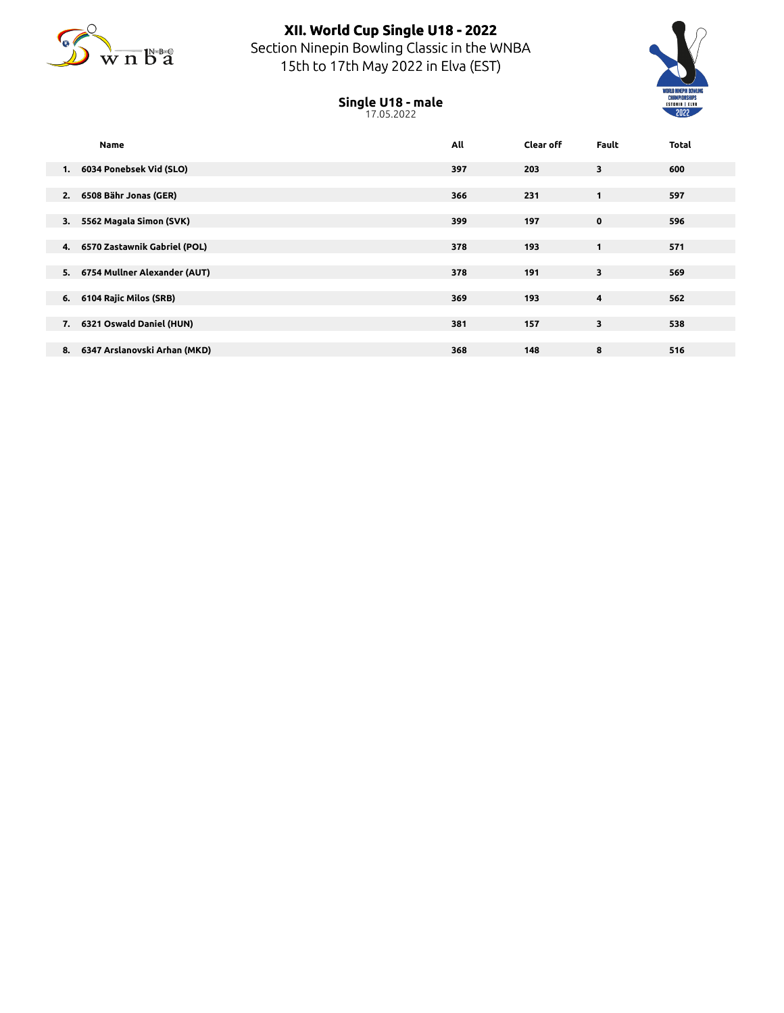

## **XII. World Cup Single U18 - 2022** Section Ninepin Bowling Classic in the WNBA 15th to 17th May 2022 in Elva (EST)



## **Single U18 - male** 17.05.2022

|    | <b>Name</b>                  | All | <b>Clear off</b> | <b>Fault</b> | <b>Total</b> |  |
|----|------------------------------|-----|------------------|--------------|--------------|--|
| 1. | 6034 Ponebsek Vid (SLO)      | 397 | 203              | 3            | 600          |  |
| 2. | 6508 Bähr Jonas (GER)        | 366 | 231              | 1            | 597          |  |
| 3. | 5562 Magala Simon (SVK)      | 399 | 197              | 0            | 596          |  |
| 4. | 6570 Zastawnik Gabriel (POL) | 378 | 193              | 1            | 571          |  |
| 5. | 6754 Mullner Alexander (AUT) | 378 | 191              | 3            | 569          |  |
| 6. | 6104 Rajic Milos (SRB)       | 369 | 193              | 4            | 562          |  |
| 7. | 6321 Oswald Daniel (HUN)     | 381 | 157              | 3            | 538          |  |
| 8. | 6347 Arslanovski Arhan (MKD) | 368 | 148              | 8            | 516          |  |